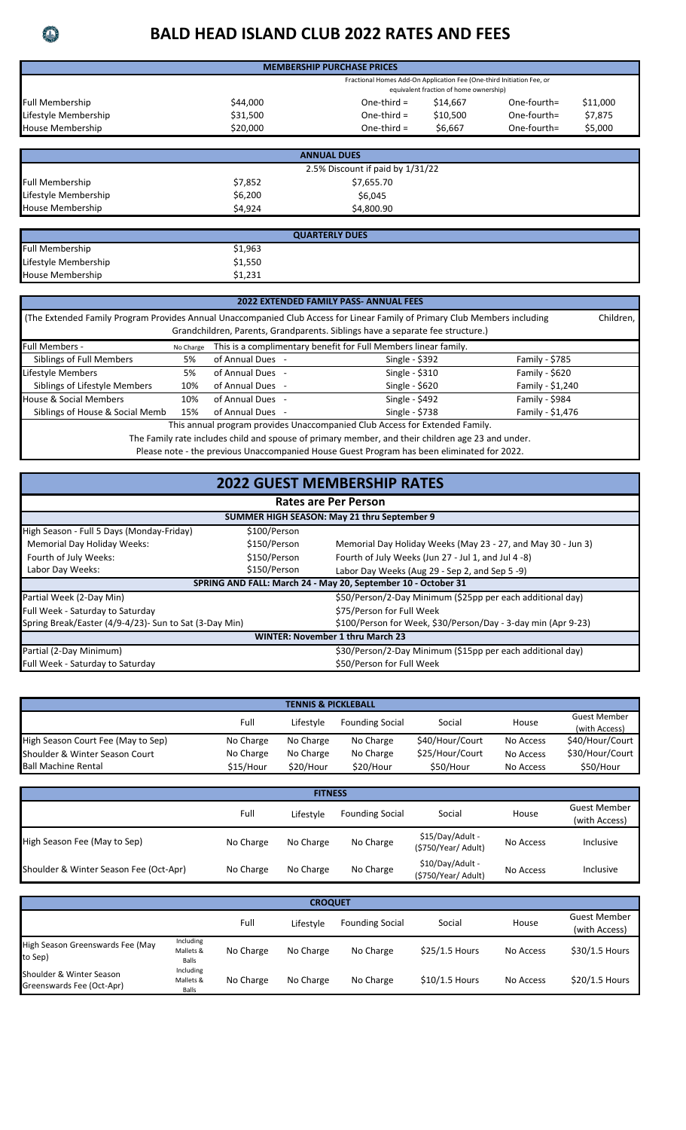## **BALD HEAD ISLAND CLUB 2022 RATES AND FEES**

| <b>MEMBERSHIP PURCHASE PRICES</b>                                                                               |          |               |          |                |          |  |  |
|-----------------------------------------------------------------------------------------------------------------|----------|---------------|----------|----------------|----------|--|--|
| Fractional Homes Add-On Application Fee (One-third Initiation Fee, or<br>equivalent fraction of home ownership) |          |               |          |                |          |  |  |
| <b>Full Membership</b>                                                                                          | \$44,000 | One-third $=$ | \$14,667 | $One-fourth =$ | \$11,000 |  |  |
| Lifestyle Membership                                                                                            | \$31,500 | One-third $=$ | \$10,500 | $One-fourth =$ | \$7,875  |  |  |
| <b>House Membership</b>                                                                                         | \$20,000 | One-third $=$ | \$6.667  | One-fourth=    | \$5,000  |  |  |
|                                                                                                                 |          |               |          |                |          |  |  |

| <b>ANNUAL DUES</b>               |         |            |  |  |  |  |
|----------------------------------|---------|------------|--|--|--|--|
| 2.5% Discount if paid by 1/31/22 |         |            |  |  |  |  |
| <b>Full Membership</b>           | \$7,852 | \$7,655.70 |  |  |  |  |
| Lifestyle Membership             | \$6,200 | \$6,045    |  |  |  |  |
| <b>House Membership</b>          | \$4,924 | \$4,800.90 |  |  |  |  |

|                         | <b>QUARTERLY DUES</b> |
|-------------------------|-----------------------|
| <b>Full Membership</b>  | \$1,963               |
| Lifestyle Membership    | \$1,550               |
| <b>House Membership</b> | \$1,231               |

| <b>2022 EXTENDED FAMILY PASS- ANNUAL FEES</b>                                                                                           |     |                |                 |                  |  |  |  |
|-----------------------------------------------------------------------------------------------------------------------------------------|-----|----------------|-----------------|------------------|--|--|--|
| (The Extended Family Program Provides Annual Unaccompanied Club Access for Linear Family of Primary Club Members including<br>Children, |     |                |                 |                  |  |  |  |
| Grandchildren, Parents, Grandparents. Siblings have a separate fee structure.)                                                          |     |                |                 |                  |  |  |  |
| This is a complimentary benefit for Full Members linear family.<br><b>Full Members -</b><br>No Charge                                   |     |                |                 |                  |  |  |  |
| Siblings of Full Members                                                                                                                | 5%  | of Annual Dues | Single - $$392$ | Family - $$785$  |  |  |  |
| Lifestyle Members                                                                                                                       | 5%  | of Annual Dues | Single - \$310  | Family - \$620   |  |  |  |
| Siblings of Lifestyle Members                                                                                                           | 10% | of Annual Dues | Single - $$620$ | Family - \$1,240 |  |  |  |
| House & Social Members                                                                                                                  | 10% | of Annual Dues | Single - \$492  | Family - \$984   |  |  |  |
| Single - \$738<br>Siblings of House & Social Memb<br>Family - \$1,476<br>of Annual Dues<br>15%                                          |     |                |                 |                  |  |  |  |
| This annual program provides Unaccompanied Club Access for Extended Family                                                              |     |                |                 |                  |  |  |  |

This annual program provides Unaccompanied Club Access for Extended Family.

The Family rate includes child and spouse of primary member, and their children age 23 and under. Please note - the previous Unaccompanied House Guest Program has been eliminated for 2022.

## **2022 GUEST MEMBERSHIP RATES**

| Rates are Per Person                                   |              |                                                               |  |  |  |
|--------------------------------------------------------|--------------|---------------------------------------------------------------|--|--|--|
| SUMMER HIGH SEASON: May 21 thru September 9            |              |                                                               |  |  |  |
| High Season - Full 5 Days (Monday-Friday)              | \$100/Person |                                                               |  |  |  |
| <b>Memorial Day Holiday Weeks:</b>                     | \$150/Person | Memorial Day Holiday Weeks (May 23 - 27, and May 30 - Jun 3)  |  |  |  |
| Fourth of July Weeks:                                  | \$150/Person | Fourth of July Weeks (Jun 27 - Jul 1, and Jul 4 -8)           |  |  |  |
| Labor Day Weeks:                                       | \$150/Person | Labor Day Weeks (Aug 29 - Sep 2, and Sep 5 -9)                |  |  |  |
|                                                        |              | SPRING AND FALL: March 24 - May 20, September 10 - October 31 |  |  |  |
| Partial Week (2-Day Min)                               |              | \$50/Person/2-Day Minimum (\$25pp per each additional day)    |  |  |  |
| Full Week - Saturday to Saturday                       |              | \$75/Person for Full Week                                     |  |  |  |
| Spring Break/Easter (4/9-4/23)- Sun to Sat (3-Day Min) |              | \$100/Person for Week, \$30/Person/Day - 3-day min (Apr 9-23) |  |  |  |
| <b>WINTER: November 1 thru March 23</b>                |              |                                                               |  |  |  |
| Partial (2-Day Minimum)                                |              | \$30/Person/2-Day Minimum (\$15pp per each additional day)    |  |  |  |
| Full Week - Saturday to Saturday                       |              | \$50/Person for Full Week                                     |  |  |  |

| <b>TENNIS &amp; PICKLEBALL</b>     |           |           |                        |                 |           |                                      |  |
|------------------------------------|-----------|-----------|------------------------|-----------------|-----------|--------------------------------------|--|
|                                    | Full      | Lifestyle | <b>Founding Social</b> | Social          | House     | <b>Guest Member</b><br>(with Access) |  |
| High Season Court Fee (May to Sep) | No Charge | No Charge | No Charge              | \$40/Hour/Court | No Access | \$40/Hour/Court                      |  |
| Shoulder & Winter Season Court     | No Charge | No Charge | No Charge              | \$25/Hour/Court | No Access | \$30/Hour/Court                      |  |
| <b>Ball Machine Rental</b>         | \$15/Hour | \$20/Hour | \$20/Hour              | \$50/Hour       | No Access | \$50/Hour                            |  |

| <b>FITNESS</b>                         |           |           |                        |                                         |           |                                      |  |
|----------------------------------------|-----------|-----------|------------------------|-----------------------------------------|-----------|--------------------------------------|--|
|                                        | Full      | Lifestyle | <b>Founding Social</b> | Social                                  | House     | <b>Guest Member</b><br>(with Access) |  |
| High Season Fee (May to Sep)           | No Charge | No Charge | No Charge              | \$15/Day/Adult -<br>(\$750/Year/ Adult) | No Access | Inclusive                            |  |
| Shoulder & Winter Season Fee (Oct-Apr) | No Charge | No Charge | No Charge              | \$10/Day/Adult -<br>(\$750/Year/ Adult) | No Access | Inclusive                            |  |

| <b>CROQUET</b>                                        |                                 |           |           |                        |                |           |                                      |  |
|-------------------------------------------------------|---------------------------------|-----------|-----------|------------------------|----------------|-----------|--------------------------------------|--|
|                                                       |                                 | Full      | Lifestyle | <b>Founding Social</b> | Social         | House     | <b>Guest Member</b><br>(with Access) |  |
| High Season Greenswards Fee (May<br>to Sep)           | Including<br>Mallets &<br>Balls | No Charge | No Charge | No Charge              | \$25/1.5 Hours | No Access | \$30/1.5 Hours                       |  |
| Shoulder & Winter Season<br>Greenswards Fee (Oct-Apr) | Including<br>Mallets &<br>Balls | No Charge | No Charge | No Charge              | \$10/1.5 Hours | No Access | \$20/1.5 Hours                       |  |